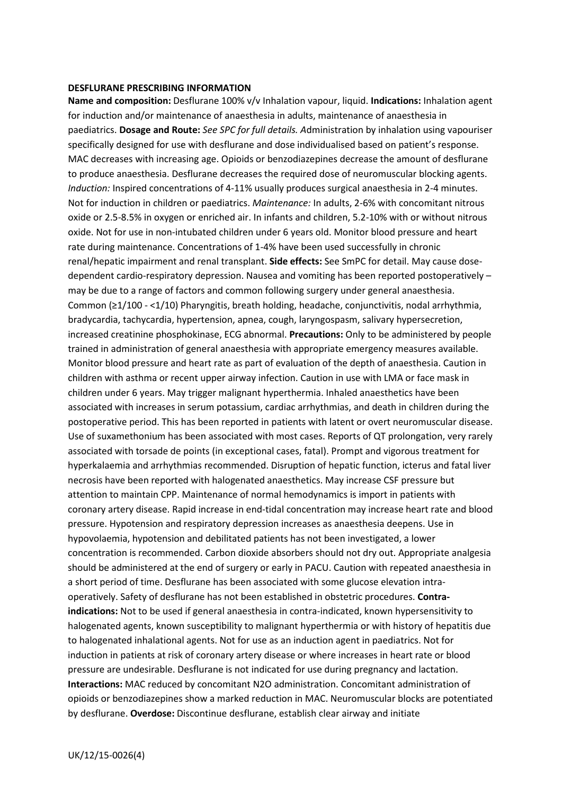## **DESFLURANE PRESCRIBING INFORMATION**

**Name and composition:** Desflurane 100% v/v Inhalation vapour, liquid. **Indications:** Inhalation agent for induction and/or maintenance of anaesthesia in adults, maintenance of anaesthesia in paediatrics. **Dosage and Route:** *See SPC for full details. A*dministration by inhalation using vapouriser specifically designed for use with desflurane and dose individualised based on patient's response. MAC decreases with increasing age. Opioids or benzodiazepines decrease the amount of desflurane to produce anaesthesia. Desflurane decreases the required dose of neuromuscular blocking agents. *Induction:* Inspired concentrations of 4-11% usually produces surgical anaesthesia in 2-4 minutes. Not for induction in children or paediatrics. *Maintenance:* In adults, 2-6% with concomitant nitrous oxide or 2.5-8.5% in oxygen or enriched air. In infants and children, 5.2-10% with or without nitrous oxide. Not for use in non-intubated children under 6 years old. Monitor blood pressure and heart rate during maintenance. Concentrations of 1-4% have been used successfully in chronic renal/hepatic impairment and renal transplant. **Side effects:** See SmPC for detail. May cause dosedependent cardio-respiratory depression. Nausea and vomiting has been reported postoperatively – may be due to a range of factors and common following surgery under general anaesthesia. Common (≥1/100 ‐ <1/10) Pharyngitis, breath holding, headache, conjunctivitis, nodal arrhythmia, bradycardia, tachycardia, hypertension, apnea, cough, laryngospasm, salivary hypersecretion, increased creatinine phosphokinase, ECG abnormal. **Precautions:** Only to be administered by people trained in administration of general anaesthesia with appropriate emergency measures available. Monitor blood pressure and heart rate as part of evaluation of the depth of anaesthesia. Caution in children with asthma or recent upper airway infection. Caution in use with LMA or face mask in children under 6 years. May trigger malignant hyperthermia. Inhaled anaesthetics have been associated with increases in serum potassium, cardiac arrhythmias, and death in children during the postoperative period. This has been reported in patients with latent or overt neuromuscular disease. Use of suxamethonium has been associated with most cases. Reports of QT prolongation, very rarely associated with torsade de points (in exceptional cases, fatal). Prompt and vigorous treatment for hyperkalaemia and arrhythmias recommended. Disruption of hepatic function, icterus and fatal liver necrosis have been reported with halogenated anaesthetics. May increase CSF pressure but attention to maintain CPP. Maintenance of normal hemodynamics is import in patients with coronary artery disease. Rapid increase in end-tidal concentration may increase heart rate and blood pressure. Hypotension and respiratory depression increases as anaesthesia deepens. Use in hypovolaemia, hypotension and debilitated patients has not been investigated, a lower concentration is recommended. Carbon dioxide absorbers should not dry out. Appropriate analgesia should be administered at the end of surgery or early in PACU. Caution with repeated anaesthesia in a short period of time. Desflurane has been associated with some glucose elevation intraoperatively. Safety of desflurane has not been established in obstetric procedures. **Contra‐ indications:** Not to be used if general anaesthesia in contra-indicated, known hypersensitivity to halogenated agents, known susceptibility to malignant hyperthermia or with history of hepatitis due to halogenated inhalational agents. Not for use as an induction agent in paediatrics. Not for induction in patients at risk of coronary artery disease or where increases in heart rate or blood pressure are undesirable. Desflurane is not indicated for use during pregnancy and lactation. **Interactions:** MAC reduced by concomitant N2O administration. Concomitant administration of opioids or benzodiazepines show a marked reduction in MAC. Neuromuscular blocks are potentiated by desflurane. **Overdose:** Discontinue desflurane, establish clear airway and initiate